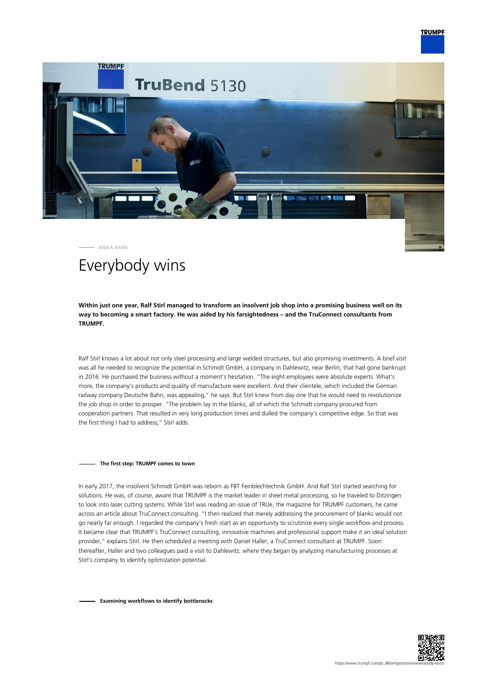



# Everybody wins

**Within just one year, Ralf Stirl managed to transform an insolvent job shop into a promising business well on its way to becoming a smart factory. He was aided by his farsightedness – and the TruConnect consultants from TRUMPF.**

Ralf Stirl knows a lot about not only steel processing and large welded structures, but also promising investments. A brief visit was all he needed to recognize the potential in Schmidt GmbH, a company in Dahlewitz, near Berlin, that had gone bankrupt in 2016. He purchased the business without a moment's hesitation. "The eight employees were absolute experts. What's more, the company's products and quality of manufacture were excellent. And their clientele, which included the German railway company Deutsche Bahn, was appealing," he says. But Stirl knew from day one that he would need to revolutionize the job shop in order to prosper. "The problem lay in the blanks, all of which the Schmidt company procured from cooperation partners. That resulted in very long production times and dulled the company's competitive edge. So that was the first thing I had to address," Stirl adds.

### **The first step: TRUMPF comes to town**

In early 2017, the insolvent Schmidt GmbH was reborn as FBT Feinblechtechnik GmbH. And Ralf Stirl started searching for solutions. He was, of course, aware that TRUMPF is the market leader in sheet metal processing, so he traveled to Ditzingen to look into laser cutting systems. While Stirl was reading an issue of TRUe, the magazine for TRUMPF customers, he came across an article about TruConnect consulting. "I then realized that merely addressing the procurement of blanks would not go nearly far enough. I regarded the company's fresh start as an opportunity to scrutinize every single workflow and process. It became clear that TRUMPF's TruConnect consulting, innovative machines and professional support make it an ideal solution provider," explains Stirl. He then scheduled a meeting with Daniel Haller, a TruConnect consultant at TRUMPF. Soon thereafter, Haller and two colleagues paid a visit to Dahlewitz, where they began by analyzing manufacturing processes at Stirl's company to identify optimization potential.

**Examining workflows to identify bottlenecks**

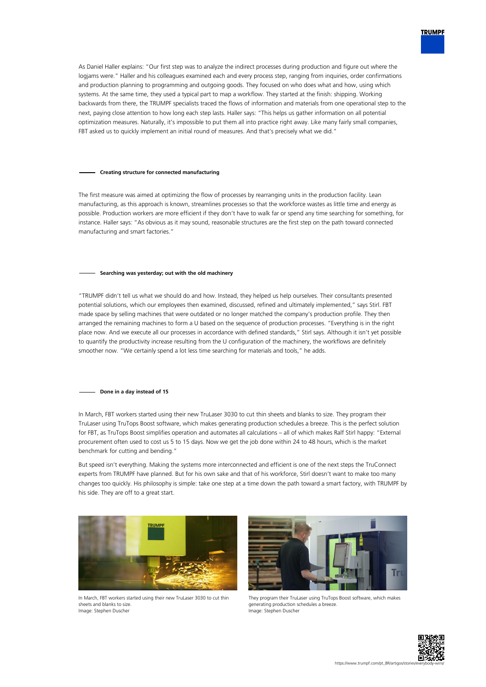

As Daniel Haller explains: "Our first step was to analyze the indirect processes during production and figure out where the logjams were." Haller and his colleagues examined each and every process step, ranging from inquiries, order confirmations and production planning to programming and outgoing goods. They focused on who does what and how, using which systems. At the same time, they used a typical part to map a workflow. They started at the finish: shipping. Working backwards from there, the TRUMPF specialists traced the flows of information and materials from one operational step to the next, paying close attention to how long each step lasts. Haller says: "This helps us gather information on all potential optimization measures. Naturally, it's impossible to put them all into practice right away. Like many fairly small companies, FBT asked us to quickly implement an initial round of measures. And that's precisely what we did."

### **Creating structure for connected manufacturing**

The first measure was aimed at optimizing the flow of processes by rearranging units in the production facility. Lean manufacturing, as this approach is known, streamlines processes so that the workforce wastes as little time and energy as possible. Production workers are more efficient if they don't have to walk far or spend any time searching for something, for instance. Haller says: "As obvious as it may sound, reasonable structures are the first step on the path toward connected manufacturing and smart factories."

## **Searching was yesterday; out with the old machinery**

"TRUMPF didn't tell us what we should do and how. Instead, they helped us help ourselves. Their consultants presented potential solutions, which our employees then examined, discussed, refined and ultimately implemented," says Stirl. FBT made space by selling machines that were outdated or no longer matched the company's production profile. They then arranged the remaining machines to form a U based on the sequence of production processes. "Everything is in the right place now. And we execute all our processes in accordance with defined standards," Stirl says. Although it isn't yet possible to quantify the productivity increase resulting from the U configuration of the machinery, the workflows are definitely smoother now. "We certainly spend a lot less time searching for materials and tools," he adds.

## **Done in a day instead of 15**

In March, FBT workers started using their new TruLaser 3030 to cut thin sheets and blanks to size. They program their TruLaser using TruTops Boost software, which makes generating production schedules a breeze. This is the perfect solution for FBT, as TruTops Boost simplifies operation and automates all calculations – all of which makes Ralf Stirl happy: "External procurement often used to cost us 5 to 15 days. Now we get the job done within 24 to 48 hours, which is the market benchmark for cutting and bending."

But speed isn't everything. Making the systems more interconnected and efficient is one of the next steps the TruConnect experts from TRUMPF have planned. But for his own sake and that of his workforce, Stirl doesn't want to make too many changes too quickly. His philosophy is simple: take one step at a time down the path toward a smart factory, with TRUMPF by his side. They are off to a great start.



In March, FBT workers started using their new TruLaser 3030 to cut thin sheets and blanks to size. Image: Stephen Duscher



They program their TruLaser using TruTops Boost software, which makes generating production schedules a breeze. Image: Stephen Duscher